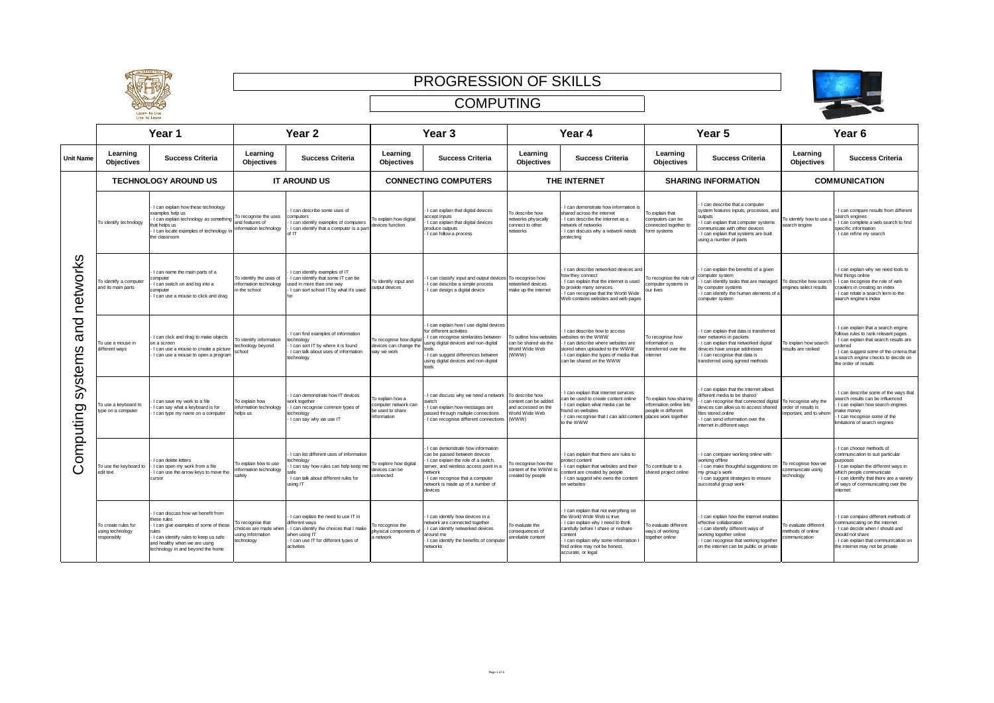





|                             | Year 1                                                 |                                                                                                                                                                                                                 | Year <sub>2</sub>                                                           |                                                                                                                                                                       | Year <sub>3</sub>                                                          |                                                                                                                                                                                                                                                      | Year 4                                                                            |                                                                                                                                                                                                                                                           | Year 5                                                                                        |                                                                                                                                                                                                                                                 | Year <sub>6</sub>                                                    |                                                                                                                                                                                                                                          |
|-----------------------------|--------------------------------------------------------|-----------------------------------------------------------------------------------------------------------------------------------------------------------------------------------------------------------------|-----------------------------------------------------------------------------|-----------------------------------------------------------------------------------------------------------------------------------------------------------------------|----------------------------------------------------------------------------|------------------------------------------------------------------------------------------------------------------------------------------------------------------------------------------------------------------------------------------------------|-----------------------------------------------------------------------------------|-----------------------------------------------------------------------------------------------------------------------------------------------------------------------------------------------------------------------------------------------------------|-----------------------------------------------------------------------------------------------|-------------------------------------------------------------------------------------------------------------------------------------------------------------------------------------------------------------------------------------------------|----------------------------------------------------------------------|------------------------------------------------------------------------------------------------------------------------------------------------------------------------------------------------------------------------------------------|
| <b>Unit Name</b>            | Learning<br><b>Objectives</b>                          | <b>Success Criteria</b>                                                                                                                                                                                         | Learning<br><b>Objectives</b>                                               | <b>Success Criteria</b>                                                                                                                                               | Learning<br>Objectives                                                     | <b>Success Criteria</b>                                                                                                                                                                                                                              | Learning<br><b>Objectives</b>                                                     | <b>Success Criteria</b>                                                                                                                                                                                                                                   | Learning<br>Objectives                                                                        | <b>Success Criteria</b>                                                                                                                                                                                                                         | Learning<br>Objectives                                               | <b>Success Criteria</b>                                                                                                                                                                                                                  |
|                             |                                                        | <b>TECHNOLOGY AROUND US</b>                                                                                                                                                                                     | <b>IT AROUND US</b>                                                         |                                                                                                                                                                       | <b>CONNECTING COMPUTERS</b>                                                |                                                                                                                                                                                                                                                      | THE INTERNET                                                                      |                                                                                                                                                                                                                                                           | <b>SHARING INFORMATION</b>                                                                    |                                                                                                                                                                                                                                                 | <b>COMMUNICATION</b>                                                 |                                                                                                                                                                                                                                          |
|                             | To identify technology                                 | I can explain how these technology<br>examples help us<br>I can explain technology as somethin<br>hat helps us<br>I can locate examples of technology i<br>the classroom                                        | To recognise the uses<br>and features of<br>nformation technology           | I can describe some uses of<br>omputers<br>I can identify examples of computers<br>I can identify that a computer is a part<br>of IT                                  | To explain how digital<br>devices function                                 | I can explain that digital devices<br>ccept inputs<br>I can explain that digital devices<br>roduce outputs<br>I can follow a process                                                                                                                 | To describe how<br>etworks physically<br>connect to other<br>etworks              | I can demonstrate how information is<br>shared across the internet<br>I can describe the internet as a<br>network of networks<br>I can discuss why a network needs<br>protecting                                                                          | o explain that<br>omputers can be<br>onnected together to<br>orm systems                      | I can describe that a computer<br>system features inputs, processes, and<br>outputs<br>I can explain that computer systems<br>ommunicate with other devices<br>I can explain that systems are built<br>using a number of parts                  | o identify how to use a<br>search engine                             | I can compare results from different<br>search engines<br>I can complete a web search to find<br>specific information<br>I can refine my search                                                                                          |
| networks                    | o identify a computer<br>and its main parts            | I can name the main parts of a<br>computer<br>I can switch on and log into a<br>computer<br>I can use a mouse to click and drag                                                                                 | To identify the uses of<br>information technology<br>n the school           | I can identify examples of IT<br>I can identify that some IT can be<br>used in more than one way<br>I can sort school IT by what it's used                            | To identify input and<br>output devices                                    | I can classify input and output devices<br>I can describe a simple process<br>I can design a digital device                                                                                                                                          | To recognise how<br>networked devices<br>nake up the internet                     | I can describe networked devices and<br>how they connect<br>I can explain that the internet is used<br>p provide many services<br>I can recognise that the World Wide<br>Web contains websites and web pages                                              | o recognise the role<br>omputer systems in<br>our lives                                       | I can explain the benefits of a given<br>computer system<br>I can identify tasks that are managed<br>by computer systems<br>I can identify the human elements of a<br>computer system                                                           | o describe how searcl<br>engines select results                      | I can explain why we need tools to<br>find things online<br>I can recognise the role of web<br>crawlers in creating an index<br>I can relate a search term to the<br>search engine's index                                               |
| and<br>stems                | o use a mouse in<br>different ways                     | I can click and drag to make objects<br>on a screen<br>I can use a mouse to create a picture<br>I can use a mouse to open a program                                                                             | To identify information<br>technology beyond<br>school                      | I can find examples of information<br>echnology<br>I can sort IT by where it is found<br>I can talk about uses of information<br>technology                           | To recognise how digital<br>devices can change the<br>way we work          | I can explain how I use digital devices<br>for different activities<br>I can recognise similarities between<br>using digital devices and non-digital<br>tools<br>I can suggest differences between<br>using digital devices and non-digital<br>tools | To outline how websites<br>can be shared via the<br><b>Norld Wide Web</b><br>(WWW | I can describe how to access<br>vebsites on the WWW<br>can describe where websites are<br>stored when uploaded to the WWW<br>I can explain the types of media that<br>can be shared on the WWW                                                            | o recognise how<br>nformation is<br>ransferred over the<br>nternet                            | I can explain that data is transferred<br>over networks in packets<br>I can explain that networked digital<br>devices have unique addresses<br>I can recognise that data is<br>transferred using agreed methods                                 | To explain how search<br>esults are ranked                           | I can explain that a search engine<br>follows rules to rank relevant pages<br>I can explain that search results are<br>prdered<br>I can suggest some of the criteria that<br>a search engine checks to decide on<br>the order of results |
| $\ddot{\delta}$<br>omputing | o use a keyboard to<br>ype on a computer               | I can save my work to a file<br>I can say what a keyboard is for<br>I can type my name on a computer                                                                                                            | To explain how<br>information technology<br>helps us                        | I can demonstrate how IT devices<br>work together<br>I can recognise common types of<br>echnology<br>I can say why we use IT                                          | o explain how a<br>computer network can<br>be used to share<br>information | I can discuss why we need a network To describe how<br>witch<br>I can explain how messages are<br>passed through multiple connections<br>I can recognise different connections                                                                       | content can be added<br>and accessed on the<br>Vorld Wide Web<br>(WWW             | can explain that internet services<br>can be used to create content online<br>I can explain what media can be<br>ound on websites<br>I can recognise that I can add content<br>to the WWW                                                                 | o explain how sharing<br>nformation online lets<br>eople in different<br>places work together | I can explain that the internet allows<br>different media to be shared<br>can recognise that connected digital<br>devices can allow us to access shared<br>files stored online<br>I can send information over the<br>internet in different ways | To recognise why the<br>order of results is<br>mportant, and to whom | I can describe some of the ways that<br>search results can be influenced<br>I can explain how search engines<br>make monev<br>I can recognise some of the<br>imitations of search engines                                                |
| ပ                           | To use the keyboard to<br>edit text                    | can delete letters<br>I can open my work from a file<br>I can use the arrow keys to move the<br>cursor                                                                                                          | To explain how to use<br>information technology<br>afek                     | I can list different uses of information<br>echnology<br>I can say how rules can help keep me<br>safe<br>I can talk about different rules for<br>using IT             | To explore how digital<br>devices can be<br>connected                      | I can demonstrate how information<br>can be passed between devices<br>I can explain the role of a switch.<br>server, and wireless access point in a<br>etwork<br>I can recognise that a computer<br>etwork is made up of a number of<br>devices      | To recognise how the<br>content of the WWW i<br>reated by people                  | I can explain that there are rules to<br>protect content<br>can explain that websites and their<br>content are created by people<br>I can suggest who owns the content<br>on websites                                                                     | o contribute to a<br>hared project online                                                     | I can compare working online with<br>working offline<br>I can make thoughtful suggestions on<br>my group's work<br>I can suggest strategies to ensure<br>successful group work                                                                  | o recognise how we<br>ommunicate using<br>echnology                  | I can choose methods of<br>communication to suit particular<br>purposes<br>I can explain the different ways in<br>which people communicate<br>I can identify that there are a variety<br>of ways of communicating over the<br>internet   |
|                             | To create rules for<br>using technology<br>responsibly | I can discuss how we benefit from<br>these rules<br>I can give examples of some of these<br>rules<br>I can identify rules to keep us safe<br>and healthy when we are using<br>technology in and beyond the home | To recognise that<br>choices are made when<br>sing information<br>echnology | I can explain the need to use IT in<br>different ways<br>I can identify the choices that I make<br>when using IT<br>I can use IT for different types of<br>activities | To recognise the<br>ohysical components of<br>a network                    | I can identify how devices in a<br>etwork are connected together<br>I can identify networked devices<br>around me<br>I can identify the benefits of compute<br>networks                                                                              | To evaluate the<br>consequences of<br>unreliable content                          | I can explain that not everything on<br>the World Wide Web is true<br>I can explain why I need to think<br>carefully before I share or reshare<br>content<br>I can explain why some information I<br>find online may not be honest,<br>accurate, or legal | o evaluate different<br>ways of working<br>ogether online                                     | I can explain how the internet enables<br>effective collaboration<br>I can identify different ways of<br>working together online<br>I can recognise that working together<br>on the internet can be public or private                           | To evaluate different<br>nethods of online<br>ommunication           | I can compare different methods of<br>communicating on the internet<br>I can decide when I should and<br>should not share<br>I can explain that communication on<br>the internet may not be private                                      |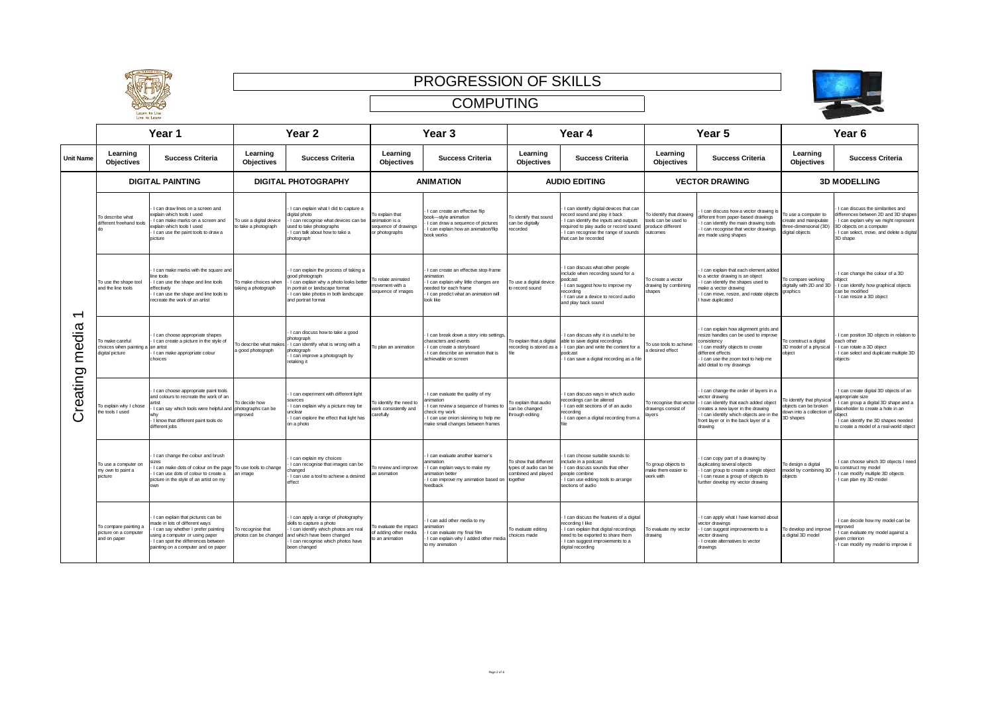



|  |                          | Year 1                                                                  |                                                                                                                                                                                                                             | Year <sub>2</sub>                               |                                                                                                                                                                                                                   | Year <sub>3</sub>                                                           |                                                                                                                                                                                | Year 4                                                                             |                                                                                                                                                                                                                          | Year 5                                                                            |                                                                                                                                                                                                                                         | Year <sub>6</sub>                                                                            |                                                                                                                                                                                                                                    |  |
|--|--------------------------|-------------------------------------------------------------------------|-----------------------------------------------------------------------------------------------------------------------------------------------------------------------------------------------------------------------------|-------------------------------------------------|-------------------------------------------------------------------------------------------------------------------------------------------------------------------------------------------------------------------|-----------------------------------------------------------------------------|--------------------------------------------------------------------------------------------------------------------------------------------------------------------------------|------------------------------------------------------------------------------------|--------------------------------------------------------------------------------------------------------------------------------------------------------------------------------------------------------------------------|-----------------------------------------------------------------------------------|-----------------------------------------------------------------------------------------------------------------------------------------------------------------------------------------------------------------------------------------|----------------------------------------------------------------------------------------------|------------------------------------------------------------------------------------------------------------------------------------------------------------------------------------------------------------------------------------|--|
|  | <b>Unit Name</b>         | Learning<br><b>Objectives</b>                                           | <b>Success Criteria</b>                                                                                                                                                                                                     | Learning<br>Objectives                          | <b>Success Criteria</b>                                                                                                                                                                                           | Learning<br><b>Objectives</b>                                               | <b>Success Criteria</b>                                                                                                                                                        | Learning<br><b>Objectives</b>                                                      | <b>Success Criteria</b>                                                                                                                                                                                                  | Learning<br><b>Objectives</b>                                                     | <b>Success Criteria</b>                                                                                                                                                                                                                 | Learning<br>Objectives                                                                       | <b>Success Criteria</b>                                                                                                                                                                                                            |  |
|  |                          |                                                                         | <b>DIGITAL PAINTING</b>                                                                                                                                                                                                     |                                                 | <b>DIGITAL PHOTOGRAPHY</b>                                                                                                                                                                                        |                                                                             | <b>ANIMATION</b>                                                                                                                                                               |                                                                                    | <b>AUDIO EDITING</b>                                                                                                                                                                                                     |                                                                                   | <b>VECTOR DRAWING</b>                                                                                                                                                                                                                   |                                                                                              | <b>3D MODELLING</b>                                                                                                                                                                                                                |  |
|  |                          | To describe what<br>different freehand tools<br>do                      | Lean draw lines on a sereon and<br>explain which tools I used<br>I can make marks on a screen and<br>explain which tools I used<br>I can use the paint tools to draw a<br>picture                                           | To use a digital device<br>to take a photograph | I can explain what I did to capture a<br>digital photo<br>I can recognise what devices can be<br>used to take photographs<br>I can talk about how to take a<br>photograph                                         | To explain that<br>animation is a<br>sequence of drawings<br>or photographs | I can create an effective flip<br>book-style animation<br>I can draw a sequence of pictures<br>I can explain how an animation/flip<br>book works                               | To identify that sound<br>can be digitally<br>ecorded                              | I can identify digital devices that can<br>ecord sound and play it back<br>I can identify the inputs and outputs<br>equired to play audio or record sound<br>I can recognise the range of sounds<br>that can be recorded | To identify that drawing<br>tools can be used to<br>produce different<br>outcomes | I can discuss how a vector drawing is<br>different from paper-based drawings<br>I can identify the main drawing tools<br>I can recognise that vector drawings<br>are made using shapes                                                  | To use a computer to<br>eate and manipulate<br>ree-dimensional (3D)<br>ligital objects       | I can discuss the similarities and<br>differences between 2D and 3D shapes<br>I can explain why we might represent<br>3D objects on a computer<br>I can select, move, and delete a digital<br>3D shape                             |  |
|  | $\overline{\phantom{0}}$ | To use the shape tool<br>and the line tools                             | I can make marks with the square and<br>line tools<br>I can use the shape and line tools<br>effectively<br>I can use the shape and line tools to<br>recreate the work of an artist                                          | To make choices when<br>taking a photograph     | I can explain the process of taking a<br>good photograph<br>I can explain why a photo looks bette<br>portrait or landscape format<br>I can take photos in both landscape<br>and portrait format                   | To relate animated<br>tovement with a<br>sequence of images                 | I can create an effective stop-frame<br>animation<br>I can explain why little changes are<br>heeded for each frame<br>I can predict what an animation will<br>look like        | To use a digital device<br>o record sound                                          | I can discuss what other people<br>include when recording sound for a<br>podcast<br>can suggest how to improve my<br>ecording<br>I can use a device to record audio<br>and play back sound                               | To create a vector<br>drawing by combining<br>shapes                              | I can explain that each element added<br>to a vector drawing is an object<br>I can identify the shapes used to<br>make a vector drawing<br>I can move, resize, and rotate objects<br>have duplicated                                    | o compare working<br>digitally with 2D and 3D<br>graphics                                    | I can change the colour of a 3D<br>object<br>I can identify how graphical objects<br>can be modified<br>I can resize a 3D object                                                                                                   |  |
|  | media                    | To make careful<br>choices when painting a an artist<br>digital picture | I can choose appropriate shapes<br>I can create a picture in the style of<br>I can make appropriate colour<br>choices                                                                                                       | a good photograph                               | I can discuss how to take a good<br>photograph<br>To describe what makes - I can identify what is wrong with a<br>photograph<br>I can improve a photograph by<br>retaking it                                      | To plan an animation                                                        | I can break down a story into settings,<br>characters and events<br>I can create a storyboard<br>I can describe an animation that is<br>achievable on screen                   | To explain that a digital                                                          | I can discuss why it is useful to be<br>able to save digital recordings<br>recording is stored as a - I can plan and write the content for a<br>podcast<br>I can save a digital recording as a file                      | To use tools to achieve<br>desired effect                                         | I can explain how alignment grids and<br>resize handles can be used to improve<br>consistency<br>I can modify objects to create<br>different effects<br>I can use the zoom tool to help me<br>add detail to my drawings                 | To construct a digital<br>3D model of a physical<br>object                                   | I can position 3D objects in relation to<br>each other<br>I can rotate a 3D object<br>I can select and duplicate multiple 3D<br>objects                                                                                            |  |
|  | Creating                 | To explain why I chose<br>the tools I used                              | I can choose appropriate paint tools<br>and colours to recreate the work of an<br>I can say which tools were helpful and photographs can be<br>why<br>- I know that different paint tools do<br>different jobs              | To decide how<br>nproved                        | I can experiment with different light<br>sources<br>I can explain why a picture may be<br>unclear<br>I can explore the effect that light has<br>on a photo                                                        | To identify the need to<br>work consistently and<br>carefully               | I can evaluate the quality of my<br>nimation<br>can review a sequence of frames to<br>heck my work<br>I can use onion skinning to help me<br>make small changes between frames | To explain that audio<br>can be changed<br>hrough editing                          | I can discuss ways in which audio<br>ecordinas can be altered<br>I can edit sections of of an audio<br>ecordina<br>I can open a digital recording from a                                                                 | To recognise that vecto<br>drawings consist of<br>layers                          | I can change the order of layers in a<br>vector drawing<br>- I can identify that each added object<br>creates a new layer in the drawing<br>I can identify which objects are in the<br>front layer or in the back layer of a<br>drawing | To identify that physical<br>obiects can be broken<br>down into a collection of<br>3D shapes | I can create digital 3D objects of an<br>appropriate size<br>can group a digital 3D shape and a<br>placeholder to create a hole in an<br>nhiect<br>I can identify the 3D shapes needed<br>to create a model of a real-world object |  |
|  |                          | To use a computer on<br>my own to paint a<br>picture                    | I can change the colour and brush<br>I can make dots of colour on the page To use tools to change<br>I can use dots of colour to create a<br>picture in the style of an artist on my<br>own                                 | an image                                        | I can explain my choices<br>I can recognise that images can be<br>hanged<br>I can use a tool to achieve a desired<br>effect                                                                                       | To review and improve<br>an animation                                       | I can evaluate another learner's<br>animation<br>I can explain ways to make my<br>nimation better<br>I can improve my animation based on<br>feedback                           | To show that different<br>types of audio can be<br>combined and played<br>together | I can choose suitable sounds to<br>nclude in a podcast<br>can discuss sounds that other<br>eople combine<br>I can use editing tools to arrange<br>sections of audio                                                      | To group objects to<br>make them easier to<br>work with                           | I can copy part of a drawing by<br>luplicating several objects<br>I can group to create a single object<br>I can reuse a group of objects to<br>further develop my vector drawing                                                       | To design a digital<br>model by combining 3D<br>bjects                                       | I can choose which 3D objects I need<br>to construct my model<br>I can modify multiple 3D objects<br>I can plan my 3D model                                                                                                        |  |
|  |                          | To compare painting a<br>picture on a computer<br>and on paper          | I can explain that pictures can be<br>nade in lots of different ways<br>I can say whether I prefer painting<br>using a computer or using paper<br>I can spot the differences between<br>painting on a computer and on paper | To recognise that                               | I can apply a range of photography<br>skills to capture a photo<br>I can identify which photos are real<br>photos can be changed and which have been changed<br>I can recognise which photos have<br>been changed | To evaluate the impact<br>of adding other media<br>o an animation           | I can add other media to my<br>animation<br>I can evaluate my final film<br>I can explain why I added other media<br>to my animation                                           | To evaluate editing<br>choices made                                                | I can discuss the features of a digital<br>recording I like<br>I can explain that digital recordings<br>need to be exported to share them<br>I can suggest improvements to a<br>digital recording                        | To evaluate my vector<br>drawing                                                  | I can apply what I have learned about<br>vector drawings<br>I can suggest improvements to a<br>vector drawing<br>I create alternatives to vector<br>drawings                                                                            | To develop and improve<br>a digital 3D model                                                 | I can decide how my model can be<br>improved<br>I can evaluate my model against a<br>given criterion<br>I can modify my model to improve it                                                                                        |  |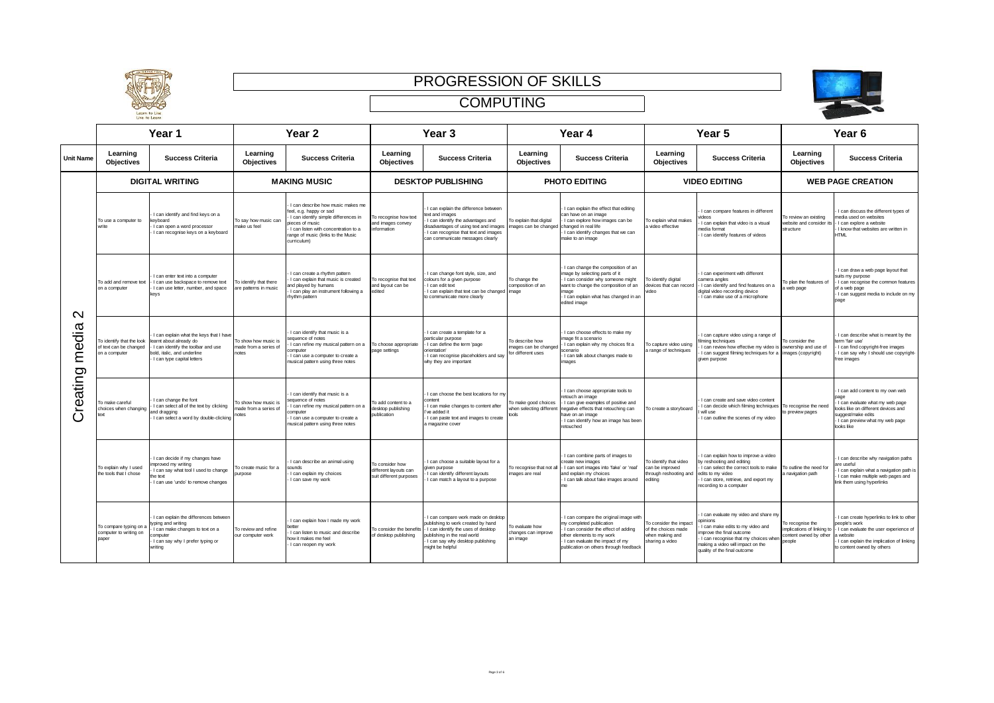





|                                            |                                                           | Year 1                                                                                                                                                                                          |                                                        | Year <sub>2</sub>                                                                                                                                                                                                   |                                                                     | Year <sub>3</sub>                                                                                                                                                                                                  |                                                                     | Year 4                                                                                                                                                                                                            |                                                                                   | Year 5                                                                                                                                                                                                                      |                                                                                    | Year <sub>6</sub>                                                                                                                                                                           |  |
|--------------------------------------------|-----------------------------------------------------------|-------------------------------------------------------------------------------------------------------------------------------------------------------------------------------------------------|--------------------------------------------------------|---------------------------------------------------------------------------------------------------------------------------------------------------------------------------------------------------------------------|---------------------------------------------------------------------|--------------------------------------------------------------------------------------------------------------------------------------------------------------------------------------------------------------------|---------------------------------------------------------------------|-------------------------------------------------------------------------------------------------------------------------------------------------------------------------------------------------------------------|-----------------------------------------------------------------------------------|-----------------------------------------------------------------------------------------------------------------------------------------------------------------------------------------------------------------------------|------------------------------------------------------------------------------------|---------------------------------------------------------------------------------------------------------------------------------------------------------------------------------------------|--|
| <b>Unit Name</b>                           | Learning<br><b>Objectives</b>                             | <b>Success Criteria</b>                                                                                                                                                                         | Learning<br><b>Objectives</b>                          | <b>Success Criteria</b>                                                                                                                                                                                             | Learning<br><b>Objectives</b>                                       | <b>Success Criteria</b>                                                                                                                                                                                            | Learning<br><b>Objectives</b>                                       | <b>Success Criteria</b>                                                                                                                                                                                           | Learning<br><b>Objectives</b>                                                     | <b>Success Criteria</b>                                                                                                                                                                                                     | Learning<br>Objectives                                                             | <b>Success Criteria</b>                                                                                                                                                                     |  |
| $\mathbf{\Omega}$<br>media<br>reating<br>ပ |                                                           | <b>DIGITAL WRITING</b>                                                                                                                                                                          |                                                        | <b>MAKING MUSIC</b>                                                                                                                                                                                                 |                                                                     | <b>DESKTOP PUBLISHING</b>                                                                                                                                                                                          |                                                                     | <b>PHOTO EDITING</b>                                                                                                                                                                                              |                                                                                   | <b>VIDEO EDITING</b>                                                                                                                                                                                                        |                                                                                    | <b>WEB PAGE CREATION</b>                                                                                                                                                                    |  |
|                                            | To use a computer to<br>write                             | I can identify and find keys on a<br>keyboard<br>I can open a word processor<br>I can recognise keys on a keyboard                                                                              | To say how music can<br>nake us feel                   | I can describe how music makes me<br>feel, e.g. happy or sad<br>I can identify simple differences in<br>ieces of music<br>I can listen with concentration to a<br>range of music (links to the Music<br>curriculum) | To recognise how text<br>and images convey<br>information           | I can explain the difference between<br>text and images<br>I can identify the advantages and<br>disadvantages of using text and images<br>I can recognise that text and images<br>can communicate messages clearly | o explain that digital<br>mages can be changed changed in real life | I can explain the effect that editing<br>can have on an image<br>I can explore how images can be<br>I can identify changes that we can<br>nake to an image                                                        | To explain what makes<br>a video effective                                        | I can compare features in different<br>videos<br>I can explain that video is a visual<br>media format<br>I can identify features of videos                                                                                  | lo review an existing<br>website and consider its<br>structure                     | I can discuss the different types of<br>media used on websites<br>Lcan explore a website<br>I know that websites are written in<br><b>HTMI</b>                                              |  |
|                                            | To add and remove text<br>on a computer                   | I can enter text into a compute<br>I can use backspace to remove text<br>I can use letter, number, and space<br>keys                                                                            | To identify that there<br>are patterns in music        | I can create a rhythm pattern<br>I can explain that music is created<br>nd plaved by humans<br>I can play an instrument following a<br>hythm pattern                                                                | To recognise that text<br>and lavout can be<br>edited               | I can change font style, size, and<br>colours for a given purpose<br>I can edit text<br>I can explain that text can be changed<br>to communicate more clearly                                                      | To change the<br>composition of an<br>nage                          | I can change the composition of an<br>mage by selecting parts of it<br>I can consider why someone might<br>vant to change the composition of an<br>mage<br>I can explain what has changed in an<br>edited image   | To identify digital<br>evices that can record<br>ideo                             | I can experiment with different<br>camera angles<br>I can identify and find features on a<br>digital video recording device<br>I can make use of a microphone                                                               | To plan the features of<br>a web page                                              | I can draw a web page layout that<br>suits my purpose<br>- I can recognise the common features<br>of a web page<br>I can suggest media to include on my<br>page                             |  |
|                                            | of text can be changed<br>on a computer                   | I can explain what the keys that I have<br>To identify that the look learnt about already do<br>I can identify the toolbar and use<br>bold, italic, and underline<br>I can type capital letters | To show how music is<br>nade from a series of<br>notes | I can identify that music is a<br>equence of notes<br>I can refine my musical pattern on a<br>computer<br>I can use a computer to create a<br>musical pattern using three notes                                     | To choose appropriate<br>page settings                              | I can create a template for a<br>particular purpose<br>I can define the term 'page<br>orientation'<br>I can recognise placeholders and say<br>why they are important                                               | o describe how<br>nages can be changed<br>or different uses         | I can choose effects to make my<br>mage fit a scenario<br>I can explain why my choices fit a<br>scenario<br>I can talk about changes made to<br>images                                                            | To capture video using<br>a range of techniques                                   | I can capture video using a range of<br>ilming techniques<br>can review how effective my video is ownership and use of<br>I can suggest filming techniques for a images (copyright)<br>given purpose                        | To consider the                                                                    | I can describe what is meant by the<br>term 'fair use'<br>I can find copyright-free images<br>I can say why I should use copyright-<br>free images                                          |  |
|                                            | To make careful<br>choices when changing<br><b>bes</b>    | I can change the font<br>I can select all of the text by clicking<br>and dragging<br>I can select a word by double-clicking                                                                     | To show how music is<br>nade from a series of<br>hotes | I can identify that music is a<br>equence of notes<br>can refine my musical pattern on a<br>omputer<br>I can use a computer to create a<br>musical pattern using three notes                                        | o add content to a<br>desktop publishing<br>ublication              | I can choose the best locations for my<br>content<br>I can make changes to content after<br>'ve added it<br>I can paste text and images to create<br>a magazine cover                                              | o make good choices<br>hen selecting different<br>nols              | I can choose appropriate tools to<br>etouch an image<br>I can give examples of positive and<br>negative effects that retouching can<br>have on an image<br>I can identify how an image has been<br>etouched       | To create a storyboard                                                            | I can create and save video content<br>I can decide which filming techniques<br>will use<br>I can outline the scenes of my video                                                                                            | To recognise the need<br>to preview pages                                          | I can add content to my own web<br>nane<br>I can evaluate what my web page<br>looks like on different devices and<br>suggest/make edits<br>- I can preview what my web page<br>looks like   |  |
|                                            | To explain why I used<br>the tools that I chose           | I can decide if my changes have<br>mproved my writing<br>I can say what tool I used to change<br>the text<br>I can use 'undo' to remove changes                                                 | To create music for a<br>urpose                        | I can describe an animal using<br>sounds<br>I can explain my choices<br>I can save my work                                                                                                                          | To consider how<br>different layouts can<br>suit different purposes | I can choose a suitable layout for a<br>given purpose<br>I can identify different layouts<br>I can match a layout to a purpose                                                                                     | nages are real                                                      | I can combine parts of images to<br>create new images<br>To recognise that not all - I can sort images into 'fake' or 'real'<br>and explain my choices<br>I can talk about fake images around<br>me               | To identify that video<br>can be improved<br>through reshooting and<br>priting    | I can explain how to improve a video<br>by reshooting and editing<br>I can select the correct tools to make<br>edits to my video<br>I can store, retrieve, and export my<br>recording to a computer                         | To outline the need for<br>a navigation path                                       | I can describe why navigation paths<br>are useful<br>I can explain what a navigation path is<br>I can make multiple web pages and<br>link them using hyperlinks                             |  |
|                                            | To compare typing on a<br>computer to writing on<br>paper | I can explain the differences between<br>typing and writing<br>I can make changes to text on a<br>:omputer<br>I can say why I prefer typing or<br>writing                                       | To review and refine<br>our computer work              | I can explain how I made my work<br>I can listen to music and describe<br>how it makes me feel<br>I can reopen my work                                                                                              | To consider the benefit<br>of desktop publishing                    | I can compare work made on desktop<br>publishing to work created by hand<br>- I can identify the uses of desktop<br>publishing in the real world<br>I can say why desktop publishing<br>might be helpful           | o evaluate how<br>hanges can improve<br>an image                    | I can compare the original image with<br>ny completed publication<br>I can consider the effect of adding<br>ther elements to my work<br>I can evaluate the impact of my<br>publication on others through feedback | To consider the impact<br>f the choices made<br>when making and<br>haring a video | I can evaluate my video and share my<br>poinions<br>can make edits to my video and<br>norove the final outcome<br>I can recognise that my choices when<br>making a video will impact on the<br>quality of the final outcome | To recognise the<br>implications of linking to<br>content owned by other<br>people | I can create hyperlinks to link to other<br>people's work<br>- I can evaluate the user experience of<br>a website<br>I can explain the implication of linking<br>to content owned by others |  |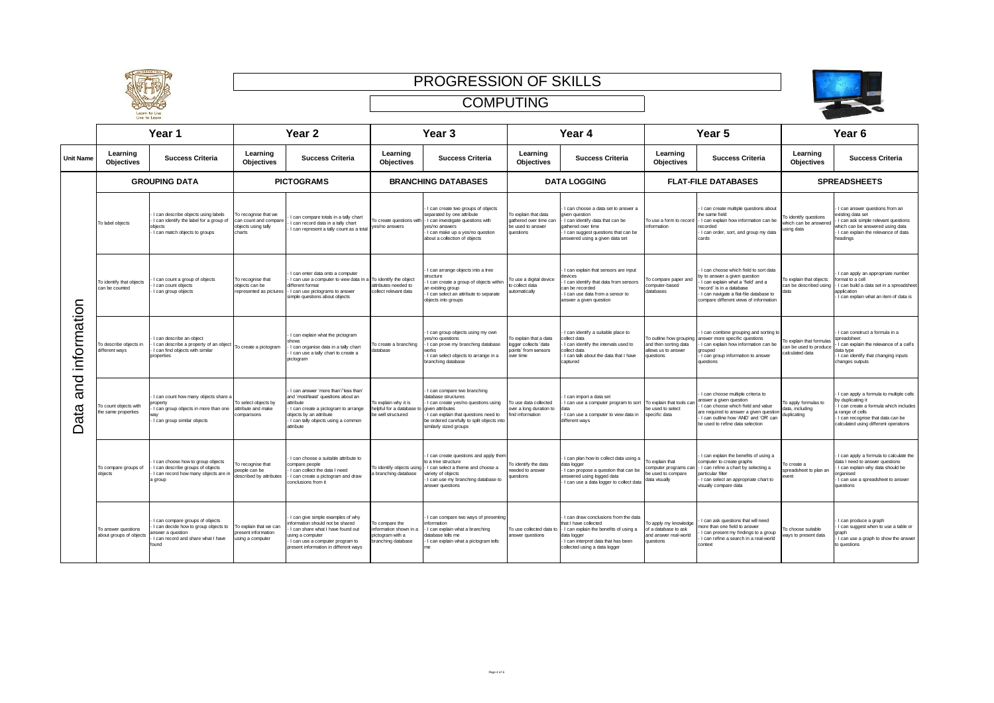



|  |                  | Year 1                                         |                                                                                                                                             | Year <sub>2</sub>                                                              |                                                                                                                                                                                                               | Year <sub>3</sub>                                                                  |                                                                                                                                                                                                                               | Year 4                                                                             |                                                                                                                                                                                              | Year 5                                                                               |                                                                                                                                                                                                                              | Year <sub>6</sub>                                                  |                                                                                                                                                                                                        |
|--|------------------|------------------------------------------------|---------------------------------------------------------------------------------------------------------------------------------------------|--------------------------------------------------------------------------------|---------------------------------------------------------------------------------------------------------------------------------------------------------------------------------------------------------------|------------------------------------------------------------------------------------|-------------------------------------------------------------------------------------------------------------------------------------------------------------------------------------------------------------------------------|------------------------------------------------------------------------------------|----------------------------------------------------------------------------------------------------------------------------------------------------------------------------------------------|--------------------------------------------------------------------------------------|------------------------------------------------------------------------------------------------------------------------------------------------------------------------------------------------------------------------------|--------------------------------------------------------------------|--------------------------------------------------------------------------------------------------------------------------------------------------------------------------------------------------------|
|  | <b>Unit Name</b> | Learning<br><b>Objectives</b>                  | <b>Success Criteria</b>                                                                                                                     | Learning<br>Objectives                                                         | <b>Success Criteria</b>                                                                                                                                                                                       | Learning<br><b>Objectives</b>                                                      | <b>Success Criteria</b>                                                                                                                                                                                                       | Learning<br><b>Objectives</b>                                                      | <b>Success Criteria</b>                                                                                                                                                                      | Learning<br><b>Objectives</b>                                                        | <b>Success Criteria</b>                                                                                                                                                                                                      | Learning<br>Objectives                                             | <b>Success Criteria</b>                                                                                                                                                                                |
|  |                  |                                                | <b>GROUPING DATA</b>                                                                                                                        |                                                                                | <b>PICTOGRAMS</b>                                                                                                                                                                                             | <b>BRANCHING DATABASES</b>                                                         |                                                                                                                                                                                                                               | <b>DATA LOGGING</b>                                                                |                                                                                                                                                                                              | <b>FLAT-FILE DATABASES</b>                                                           |                                                                                                                                                                                                                              | <b>SPREADSHEETS</b>                                                |                                                                                                                                                                                                        |
|  |                  | To label objects                               | I can describe objects using labels<br>I can identify the label for a group of<br>objects<br>I can match objects to groups                  | To recognise that we<br>can count and compare<br>objects using tally<br>charts | I can compare totals in a tally chart<br>I can record data in a tally chart<br>I can represent a tally count as a total                                                                                       | To create questions with<br>yes/no answers                                         | I can create two groups of objects<br>separated by one attribute<br>I can investigate questions with<br>es/no answers<br>I can make up a ves/no question<br>about a collection of objects                                     | To explain that data<br>athered over time can<br>be used to answer<br>questions    | I can choose a data set to answer a<br>jiven question<br>I can identify data that can be<br>gathered over time<br>I can suggest questions that can be<br>answered using a given data set     | To use a form to record<br>information                                               | I can create multiple questions about<br>the same field<br>- I can explain how information can be<br>recorded<br>I can order, sort, and group my data<br>cards                                                               | o identify questions<br>hich can be answered<br>using data         | I can answer questions from an<br>wisting data set<br>I can ask simple relevant questions<br>which can be answered using data<br>I can explain the relevance of data<br>headings                       |
|  |                  | To identify that objects<br>can be counted     | I can count a group of objects<br>I can count objects<br>I can group objects                                                                | To recognise that<br>objects can be<br>represented as pictures                 | I can enter data onto a computer<br>I can use a computer to view data in a To identify the object<br>different format<br>I can use pictograms to answer<br>simple questions about objects                     | attributes needed to<br>collect relevant data                                      | I can arrange objects into a tree<br>structure<br>I can create a group of objects within<br>an existing group<br>I can select an attribute to separate<br>objects into groups                                                 | To use a digital device<br>o collect data<br>automatically                         | I can explain that sensors are input<br>tevices<br>I can identify that data from sensors<br>can be recorded<br>I can use data from a sensor to<br>answer a given question                    | o compare paper and<br>omputer-based<br>databases                                    | Lcan choose which field to sort data<br>by to answer a given question<br>I can explain what a 'field' and a<br>'record' is in a database<br>I can navigate a flat-file database to<br>compare different views of information | To explain that objects<br>can be described using                  | I can apply an appropriate number<br>format to a cell<br>I can build a data set in a spreadsheet<br>application<br>I can explain what an item of data is                                               |
|  | information      | o describe objects in<br>different ways        | I can describe an object<br>I can describe a property of an object<br>I can find objects with similar<br>properties                         | To create a pictogram                                                          | I can explain what the pictogram<br>shows<br>I can organise data in a tally chart<br>I can use a tally chart to create a<br>pictogram                                                                         | To create a branching<br>database                                                  | I can group objects using my own<br>yes/no questions<br>I can prove my branching database<br>works<br>I can select objects to arrange in a<br>branching database                                                              | o explain that a data<br>ogger collects 'data<br>points' from sensors<br>over time | I can identify a suitable place to<br>collect data<br>I can identify the intervals used to<br>collect data<br>I can talk about the data that I have<br>captured                              | To outline how grouping<br>and then sorting data<br>allows us to answer<br>questions | I can combine grouping and sorting to<br>answer more specific questions<br>I can explain how information can be<br>arouped<br>I can group information to answer<br>questions                                                 | explain that formulas<br>can be used to produce<br>calculated data | I can construct a formula in a<br>spreadsheet<br>can explain the relevance of a cell's<br>data type<br>I can identify that changing inputs<br>changes outputs                                          |
|  | and<br>Data      | To count objects with<br>the same properties   | I can count how many objects share a<br>I can group objects in more than one<br>I can group similar objects                                 | To select objects by<br>attribute and make<br>:omparisons                      | I can answer 'more than'/'less than'<br>and 'most/least' questions about an<br>attribute<br>I can create a pictogram to arrange<br>objects by an attribute<br>I can tally objects using a common<br>attribute | To explain why it is<br>helpful for a database<br>e well structured                | I can compare two branching<br>database structures<br>I can create yes/no questions using<br>aiven attributes<br>I can explain that questions need to<br>be ordered carefully to split objects into<br>similarly sized groups | To use data collected<br>wer a long duration to<br>ind information                 | I can import a data set<br>I can use a computer program to sort To explain that tools car<br>I can use a computer to view data in<br>different ways                                          | be used to select<br>specific data                                                   | I can choose multiple criteria to<br>answer a given question<br>I can choose which field and value<br>are required to answer a given question<br>I can outline how 'AND' and 'OR' can<br>be used to refine data selection    | To apply formulas to<br>data, including<br>duplicating             | I can apply a formula to multiple cells<br>by duplicating it<br>I can create a formula which includes<br>a range of cells<br>I can recognise that data can be<br>calculated using different operations |
|  |                  | To compare groups of<br>objects                | I can choose how to group objects<br>I can describe groups of objects<br>I can record how many objects are i<br>a group                     | To recognise that<br>people can be<br>described by attributes                  | I can choose a suitable attribute to<br>compare people<br>I can collect the data I need<br>I can create a pictogram and draw<br>conclusions from it                                                           | To identify objects using<br>a branching database                                  | I can create questions and apply then<br>to a tree structure<br>- I can select a theme and choose a<br>variety of objects<br>I can use my branching database to<br>answer questions                                           | o identify the data<br>eeded to answer<br>questions                                | I can plan how to collect data using a<br>data logger<br>I can propose a question that can be<br>answered using logged data<br>I can use a data logger to collect data                       | o explain that<br>computer programs car<br>be used to compare<br>data visually       | I can explain the benefits of using a<br>computer to create graphs<br>I can refine a chart by selecting a<br>particular filter<br>I can select an appropriate chart to<br>visually compare data                              | o create a<br>spreadsheet to plan ar<br><b>Mant</b>                | I can apply a formula to calculate the<br>data I need to answer questions<br>I can explain why data should be<br>proanised<br>I can use a spreadsheet to answer<br>questions                           |
|  |                  | To answer questions<br>about groups of objects | I can compare groups of objects<br>I can decide how to group objects to<br>answer a question<br>I can record and share what I have<br>found | To explain that we can<br>present information<br>ising a computer              | I can give simple examples of why<br>information should not be shared<br>I can share what I have found out<br>using a computer<br>I can use a computer program to<br>present information in different ways    | To compare the<br>information shown in a<br>pictogram with a<br>oranching database | I can compare two ways of presenting<br>information<br>I can explain what a branching<br>database tells me<br>I can explain what a pictogram tells                                                                            | To use collected data t<br>answer questions                                        | I can draw conclusions from the data<br>that I have collected<br>I can explain the benefits of using a<br>data logger<br>I can interpret data that has been<br>collected using a data logger | lo apply my knowledge<br>of a database to ask<br>and answer real-world<br>questions  | I can ask questions that will need<br>more than one field to answer<br>I can present my findings to a group<br>I can refine a search in a real-world<br>context                                                              | o choose suitable<br>vays to present data                          | I can produce a graph<br>I can suggest when to use a table or<br>graph<br>I can use a graph to show the answer<br>to questions                                                                         |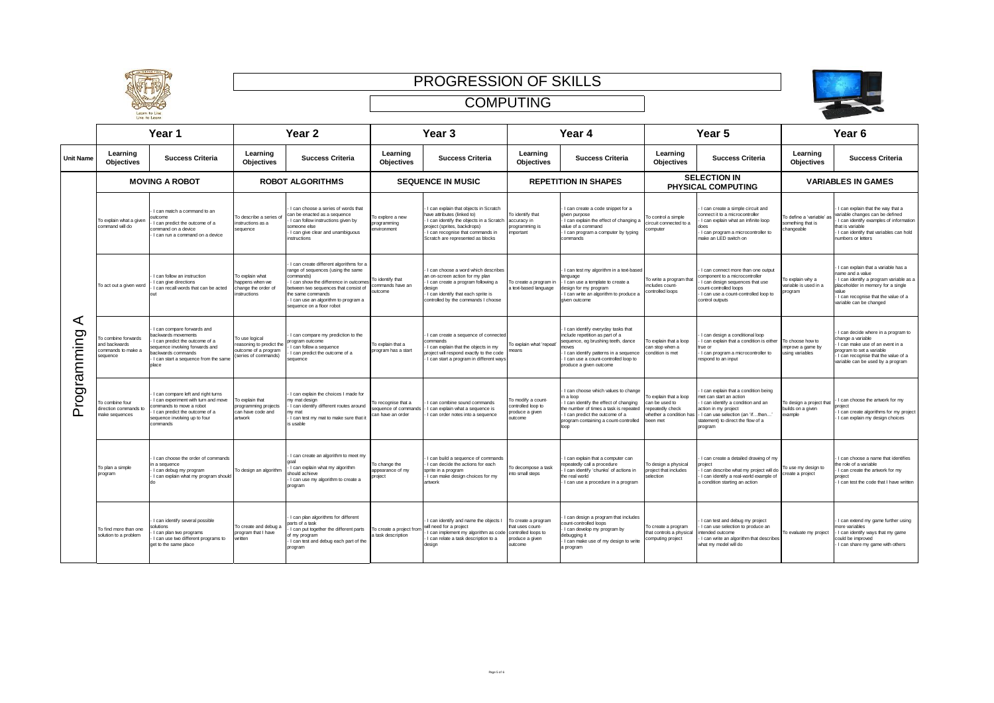



|                  | Year 1                                                                |                                                                                                                                                                                            | Year <sub>2</sub>                                                                          |                                                                                                                                                                                                                                                                  | Year <sub>3</sub>                                              |                                                                                                                                                                                                                            | Year 4                                                                                   |                                                                                                                                                                                                                                  | Year <sub>5</sub>                                                                                |                                                                                                                                                                                                                    | Year <sub>6</sub>                                        |                                                                                                                                                                                                                   |  |
|------------------|-----------------------------------------------------------------------|--------------------------------------------------------------------------------------------------------------------------------------------------------------------------------------------|--------------------------------------------------------------------------------------------|------------------------------------------------------------------------------------------------------------------------------------------------------------------------------------------------------------------------------------------------------------------|----------------------------------------------------------------|----------------------------------------------------------------------------------------------------------------------------------------------------------------------------------------------------------------------------|------------------------------------------------------------------------------------------|----------------------------------------------------------------------------------------------------------------------------------------------------------------------------------------------------------------------------------|--------------------------------------------------------------------------------------------------|--------------------------------------------------------------------------------------------------------------------------------------------------------------------------------------------------------------------|----------------------------------------------------------|-------------------------------------------------------------------------------------------------------------------------------------------------------------------------------------------------------------------|--|
| <b>Unit Name</b> | Learning<br><b>Objectives</b>                                         | <b>Success Criteria</b>                                                                                                                                                                    | Learning<br>Objectives                                                                     | <b>Success Criteria</b>                                                                                                                                                                                                                                          | Learning<br><b>Objectives</b>                                  | <b>Success Criteria</b>                                                                                                                                                                                                    | Learning<br>Objectives                                                                   | <b>Success Criteria</b>                                                                                                                                                                                                          | Learning<br><b>Objectives</b>                                                                    | <b>Success Criteria</b>                                                                                                                                                                                            | Learning<br>Objectives                                   | <b>Success Criteria</b>                                                                                                                                                                                           |  |
| ⋖<br>rogramming  | <b>MOVING A ROBOT</b>                                                 |                                                                                                                                                                                            |                                                                                            | <b>ROBOT ALGORITHMS</b>                                                                                                                                                                                                                                          |                                                                | <b>SEQUENCE IN MUSIC</b>                                                                                                                                                                                                   |                                                                                          | <b>REPETITION IN SHAPES</b>                                                                                                                                                                                                      |                                                                                                  | <b>SELECTION IN</b><br>PHYSICAL COMPUTING                                                                                                                                                                          |                                                          | <b>VARIABLES IN GAMES</b>                                                                                                                                                                                         |  |
|                  | To explain what a given<br>command will do                            | I can match a command to an<br>outcome<br>can predict the outcome of a<br>command on a device<br>I can run a command on a device                                                           | To describe a series<br>instructions as a<br>sequence                                      | I can choose a series of words that<br>an be enacted as a sequence<br>I can follow instructions given by<br>someone else<br>I can give clear and unambiguous<br>instructions                                                                                     | o explore a new<br>programming<br>environment                  | I can explain that objects in Scratch<br>have attributes (linked to)<br>I can identify the objects in a Scratch<br>project (sprites, backdrops)<br>- I can recognise that commands in<br>Scratch are represented as blocks | o identify that<br>accuracy in<br>rogramming is<br>mportant                              | I can create a code snippet for a<br>given purpose<br>I can explain the effect of changing a<br>value of a command<br>I can program a computer by typing<br>commands                                                             | lo control a simple<br>ircuit connected to a<br>omputer                                          | I can create a simple circuit and<br>connect it to a microcontroller<br>I can explain what an infinite loop<br>does<br>I can program a microcontroller to<br>make an LED switch on                                 | o define a 'variable' a<br>omething that is<br>hangeable | I can explain that the way that a<br>variable changes can be defined<br>I can identify examples of information<br>that is variable<br>I can identify that variables can hold<br>numbers or letters                |  |
|                  | To act out a given word                                               | I can follow an instruction<br>I can give directions<br>can recall words that can be acted<br><b>Out</b>                                                                                   | To explain what<br>appens when we<br>change the order of<br>nstructions                    | I can create different algorithms for a<br>ange of sequences (using the same<br>commands)<br>I can show the difference in outcome<br>etween two sequences that consist of<br>e same commands<br>I can use an algorithm to program a<br>sequence on a floor robot | o identify that<br>ommands have an<br>putcome                  | I can choose a word which describes<br>an on-screen action for my plan<br>I can create a program following a<br>desian<br>I can identify that each sprite is<br>controlled by the commands I choose                        | o create a program in<br>text-based language                                             | I can test my algorithm in a text-based<br>anguage<br>I can use a template to create a<br>sign for my program<br>I can write an algorithm to produce a<br>given outcome                                                          | To write a program that<br>includes count-<br>controlled loops                                   | I can connect more than one output<br>component to a microcontroller<br>I can design sequences that use<br>count-controlled loops<br>I can use a count-controlled loop to<br>control outputs                       | To explain why a<br>ariable is used in a<br>orogram      | I can explain that a variable has a<br>name and a value<br>I can identify a program variable as a<br>placeholder in memory for a single<br>alue<br>I can recognise that the value of a<br>variable can be changed |  |
|                  | o combine forwards<br>and backwards<br>commands to make a<br>sequence | I can compare forwards and<br>ackwards movements<br>I can predict the outcome of a<br>equence involving forwards and<br>ackwards commands<br>I can start a sequence from the same<br>place | To use logical<br>reasoning to predict the<br>outcome of a program<br>(series of commands) | I can compare my prediction to the<br>rogram outcome<br>I can follow a sequence<br>I can predict the outcome of a<br>sequence                                                                                                                                    | o explain that a<br>program has a start                        | I can create a sequence of connecter<br>commands<br>I can explain that the objects in my<br>project will respond exactly to the code<br>I can start a program in different ways                                            | o explain what 'repea'<br>eans                                                           | I can identify everyday tasks that<br>include repetition as part of a<br>sequence, eg brushing teeth, dance<br>moves<br>I can identify patterns in a sequence<br>I can use a count-controlled loop to<br>produce a given outcome | To explain that a loop<br>can stop when a<br>condition is met                                    | I can design a conditional loop<br>I can explain that a condition is either<br>true or<br>I can program a microcontroller to<br>respond to an input                                                                | To choose how to<br>mprove a game by<br>sing variables   | I can decide where in a program to<br>change a variable<br>I can make use of an event in a<br>program to set a variable<br>I can recognise that the value of a<br>variable can be used by a program               |  |
| ൨                | To combine four<br>direction commands to<br>make sequences            | I can compare left and right turns<br>I can experiment with turn and move<br>commands to move a robot<br>I can predict the outcome of a<br>sequence involving up to four<br>commands       | To explain that<br>programming projects<br>an have code and<br>artwork                     | I can explain the choices I made for<br>ny mat design<br>I can identify different routes around<br>w mat<br>I can test my mat to make sure that i<br>is usable                                                                                                   | o recognise that a<br>equence of commands<br>can have an order | I can combine sound commands<br>I can explain what a sequence is<br>can order notes into a sequence                                                                                                                        | o modify a count-<br>ontrolled loop to<br>roduce a given<br>utcome                       | I can choose which values to change<br>n a loop<br>I can identify the effect of changing<br>the number of times a task is repeated<br>I can predict the outcome of a<br>program containing a count-controlled<br>loop            | To explain that a loop<br>can be used to<br>epeatedly check<br>vhether a condition ha<br>een met | I can explain that a condition being<br>met can start an action<br>I can identify a condition and an<br>action in my project<br>- I can use selection (an 'ifthen<br>statement) to direct the flow of a<br>program | To design a project that<br>builds on a given<br>example | I can choose the artwork for my<br>project<br>I can create algorithms for my project<br>I can explain my design choices                                                                                           |  |
|                  | To plan a simple<br>program                                           | I can choose the order of commands<br>in a sequence<br>I can debug my program<br>I can explain what my program should<br>d٥                                                                | To design an algorithm                                                                     | I can create an algorithm to meet my<br>coal<br>I can explain what my algorithm<br>should achieve<br>I can use my algorithm to create a<br>program                                                                                                               | o change the<br>appearance of my<br>project                    | I can build a sequence of commands<br>I can decide the actions for each<br>sprite in a program<br>I can make design choices for my<br><b>artwork</b>                                                                       | o decompose a task<br>to small steps                                                     | I can explain that a computer can<br>epeatedly call a procedure<br>I can identify 'chunks' of actions in<br>the real world<br>I can use a procedure in a program                                                                 | To design a physical<br>project that includes<br>selection                                       | I can create a detailed drawing of my<br>project<br>I can describe what my project will do<br>I can identify a real-world example of<br>a condition starting an action                                             | To use my design to<br>create a project                  | I can choose a name that identifies<br>he role of a variable<br>I can create the artwork for my<br>project<br>I can test the code that I have written                                                             |  |
|                  | To find more than one<br>solution to a problem                        | I can identify several possible<br>olutions<br>can plan two programs<br>I can use two different programs to<br>get to the same place                                                       | To create and debug a<br>program that I have<br>written                                    | I can plan algorithms for different<br>parts of a task<br>I can put together the different parts<br>of my program<br>I can test and debug each part of the<br>program                                                                                            | o create a project from<br>task description                    | I can identify and name the objects I<br>will need for a project<br>I can implement my algorithm as code<br>I can relate a task description to a<br>design                                                                 | To create a program<br>at uses count-<br>controlled loops to<br>roduce a given<br>utcome | I can design a program that includes<br>ount-controlled loops<br>I can develop my program by<br>debugging it<br>I can make use of my design to write<br>a program                                                                | To create a program<br>that controls a physica<br>omputing project                               | I can test and debug my project<br>I can use selection to produce an<br>intended outcome<br>I can write an algorithm that describes<br>what my model will do                                                       | To evaluate my project                                   | I can extend my game further using<br>more variables<br>I can identify ways that my game<br>could be improved<br>I can share my game with others                                                                  |  |